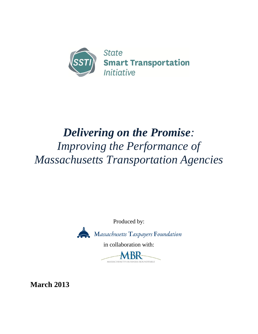

# *Delivering on the Promise: Improving the Performance of Massachusetts Transportation Agencies*

Produced by:



in collaboration with:



**March 2013**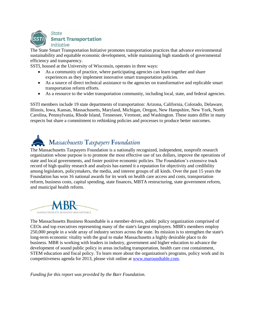

The State Smart Transportation Initiative promotes transportation practices that advance environmental sustainability and equitable economic development, while maintaining high standards of governmental efficiency and transparency.

SSTI, housed at the University of Wisconsin, operates in three ways:

- As a community of practice, where participating agencies can learn together and share experiences as they implement innovative smart transportation policies.
- As a source of direct technical assistance to the agencies on transformative and replicable smart transportation reform efforts.
- As a resource to the wider transportation community, including local, state, and federal agencies.

SSTI members include 19 state departments of transportation: Arizona, California, Colorado, Delaware, Illinois, Iowa, Kansas, Massachusetts, Maryland, Michigan, Oregon, New Hampshire, New York, North Carolina, Pennsylvania, Rhode Island, Tennessee, Vermont, and Washington. These states differ in many respects but share a commitment to rethinking policies and processes to produce better outcomes.

# Massachusetts Taxpayers Foundation

The Massachusetts Taxpayers Foundation is a nationally recognized, independent, nonprofit research organization whose purpose is to promote the most effective use of tax dollars, improve the operations of state and local governments, and foster positive economic policies. The Foundation's extensive track record of high quality research and analysis has earned it a reputation for objectivity and credibility among legislators, policymakers, the media, and interest groups of all kinds. Over the past 15 years the Foundation has won 16 national awards for its work on health care access and costs, transportation reform, business costs, capital spending, state finances, MBTA restructuring, state government reform, and municipal health reform.



The Massachusetts Business Roundtable is a member-driven, public policy organization comprised of CEOs and top executives representing many of the state's largest employers. MBR's members employ 250,000 people in a wide array of industry sectors across the state. Its mission is to strengthen the state's long-term economic vitality with the goal to make Massachusetts a highly desirable place to do business. MBR is working with leaders in industry, government and higher education to advance the development of sound public policy in areas including transportation, health care cost containment, STEM education and fiscal policy. To learn more about the organization's programs, policy work and its competitiveness agenda for 2013, please visit online at [www.maroundtable.com.](http://www.maroundtable.com/)

*Funding for this report was provided by the Barr Foundation.*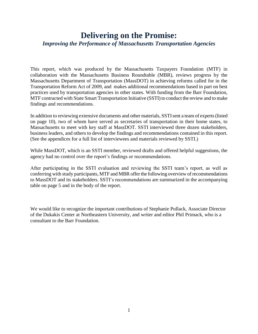# **Delivering on the Promise:** *Improving the Performance of Massachusetts Transportation Agencies*

This report, which was produced by the Massachusetts Taxpayers Foundation (MTF) in collaboration with the Massachusetts Business Roundtable (MBR), reviews progress by the Massachusetts Department of Transportation (MassDOT) in achieving reforms called for in the Transportation Reform Act of 2009, and makes additional recommendations based in part on best practices used by transportation agencies in other states. With funding from the Barr Foundation, MTF contracted with State Smart Transportation Initiative (SSTI) to conduct the review and to make findings and recommendations.

In addition to reviewing extensive documents and other materials, SSTI sent a team of experts(listed on page 10), two of whom have served as secretaries of transportation in their home states, to Massachusetts to meet with key staff at MassDOT. SSTI interviewed three dozen stakeholders, business leaders, and others to develop the findings and recommendations contained in this report. (See the appendices for a full list of interviewees and materials reviewed by SSTI.)

While MassDOT, which is an SSTI member, reviewed drafts and offered helpful suggestions, the agency had no control over the report's findings or recommendations.

After participating in the SSTI evaluation and reviewing the SSTI team's report, as well as conferring with study participants, MTF and MBR offer the following overview of recommendations to MassDOT and its stakeholders. SSTI's recommendations are summarized in the accompanying table on page 5 and in the body of the report.

We would like to recognize the important contributions of Stephanie Pollack, Associate Director of the Dukakis Center at Northeastern University, and writer and editor Phil Primack, who is a consultant to the Barr Foundation.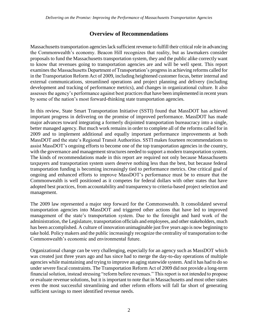# **Overview of Recommendations**

Massachusetts transportation agencies lack sufficient revenue to fulfill their critical role in advancing the Commonwealth's economy. Beacon Hill recognizes that reality, but as lawmakers consider proposals to fund the Massachusetts transportation system, they and the public alike correctly want to know that revenues going to transportation agencies are and will be well spent. This report examines the Massachusetts Department of Transportation's progress in achieving reforms called for in the Transportation Reform Act of 2009, including heightened customer focus, better internal and external communications, streamlined operations and project planning and delivery (including development and tracking of performance metrics), and changes in organizational culture. It also assesses the agency's performance against best practices that have been implemented in recent years by some of the nation's most forward-thinking state transportation agencies.

In this review, State Smart Transportation Initiative (SSTI) found that MassDOT has achieved important progress in delivering on the promise of improved performance. MassDOT has made major advances toward integrating a formerly disjointed transportation bureaucracy into a single, better managed agency. But much work remains in order to complete all of the reforms called for in 2009 and to implement additional and equally important performance improvements at both MassDOT and the state's Regional Transit Authorities. SSTI makes fourteen recommendations to assist MassDOT's ongoing efforts to become one of the top transportation agencies in the country, with the governance and management structures needed to support a modern transportation system. The kinds of recommendations made in this report are required not only because Massachusetts taxpayers and transportation system users deserve nothing less than the best, but because federal transportation funding is becoming increasingly tied to performance metrics. One critical goal of ongoing and enhanced efforts to improve MassDOT's performance must be to ensure that the Commonwealth is well positioned as it competes for federal dollars with other states that have adopted best practices, from accountability and transparency to criteria-based project selection and management.

The 2009 law represented a major step forward for the Commonwealth. It consolidated several transportation agencies into MassDOT and triggered other actions that have led to improved management of the state's transportation system. Due to the foresight and hard work of the administration, the Legislature, transportation officials and employees, and other stakeholders, much has been accomplished. A culture of innovation unimaginable just five years ago is now beginning to take hold. Policy makers and the public increasingly recognize the centrality of transportation to the Commonwealth's economic and environmental future.

Organizational change can be very challenging, especially for an agency such as MassDOT which was created just three years ago and has since had to merge the day-to-day operations of multiple agencies while maintaining and trying to improve an aging statewide system. And it has had to do so under severe fiscal constraints. The Transportation Reform Act of 2009 did not provide a long-term financial solution, instead stressing "reform before revenues." This report is not intended to propose or evaluate revenue solutions, but it is important to note that in Massachusetts and most other states even the most successful streamlining and other reform efforts will fall far short of generating sufficient savings to meet identified revenue needs.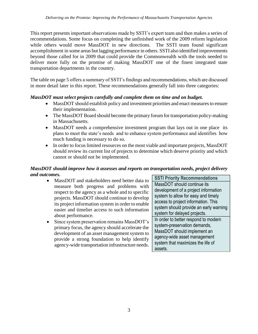This report presents important observations made by SSTI's expert team and then makes a series of recommendations. Some focus on completing the unfinished work of the 2009 reform legislation while others would move MassDOT in new directions. The SSTI team found significant accomplishment in some areas but lagging performance in others. SSTI also identified improvements beyond those called for in 2009 that could provide the Commonwealth with the tools needed to deliver more fully on the promise of making MassDOT one of the finest integrated state transportation departments in the country.

The table on page 5 offers a summary of SSTI's findings and recommendations, which are discussed in more detail later in this report. These recommendations generally fall into three categories:

#### *MassDOT must select projects carefully and complete them on time and on budget.*

- MassDOT should establish policy and investment priorities and enact measures to ensure their implementation.
- The MassDOT Board should become the primary forum for transportation policy-making in Massachusetts.
- MassDOT needs a comprehensive investment program that lays out in one place its plans to meet the state's needs and to enhance system performance and identifies how much funding is necessary to do so.
- In order to focus limited resources on the most viable and important projects, MassDOT should review its current list of projects to determine which deserve priority and which cannot or should not be implemented.

### *MassDOT should improve how it assesses and reports on transportation needs, project delivery and outcomes.*

- MassDOT and stakeholders need better data to measure both progress and problems with respect to the agency as a whole and to specific projects. MassDOT should continue to develop its project information system in order to enable easier and timelier access to such information about performance.
- Since system preservation remains MassDOT's primary focus, the agency should accelerate the development of an asset management system to provide a strong foundation to help identify agency-wide transportation infrastructure needs.

**SSTI Priority Recommendations** MassDOT should continue its development of a project information system to allow for easy and timely access to project information. This system should provide an early warning system for delayed projects. In order to better respond to modern system-preservation demands, MassDOT should implement an agency-wide asset management system that maximizes the life of assets.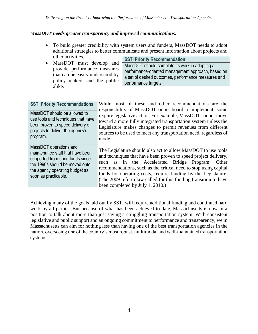#### *MassDOT needs greater transparency and improved communications.*

- To build greater credibility with system users and funders, MassDOT needs to adopt additional strategies to better communicate and present information about projects and other activities. **SSTI Priority Recommendation**
- MassDOT must develop and provide performance measures that can be easily understood by policy makers and the public alike.

| <b>UUTE HUIRY INGUUHHIGHUALIUH</b>                  |
|-----------------------------------------------------|
| MassDOT should complete its work in adopting a      |
| performance-oriented management approach, based on  |
| a set of desired outcomes, performance measures and |
| performance targets.                                |

| <b>SSTI Priority Recommendations</b>                                                                                                                                                      | While most of these and other recommendations are the                                                                                                                                                                                                                                                                                                                                                                                   |
|-------------------------------------------------------------------------------------------------------------------------------------------------------------------------------------------|-----------------------------------------------------------------------------------------------------------------------------------------------------------------------------------------------------------------------------------------------------------------------------------------------------------------------------------------------------------------------------------------------------------------------------------------|
| MassDOT should be allowed to<br>use tools and techniques that have<br>been proven to speed delivery of<br>projects to deliver the agency's<br>program.                                    | responsibility of MassDOT or its board to implement, some<br>require legislative action. For example, MassDOT cannot move<br>toward a more fully integrated transportation system unless the<br>Legislature makes changes to permit revenues from different<br>sources to be used to meet any transportation need, regardless of<br>mode.                                                                                               |
| MassDOT operations and<br>maintenance staff that have been<br>supported from bond funds since<br>the 1990s should be moved onto<br>the agency operating budget as<br>soon as practicable. | The Legislature should also act to allow MassDOT to use tools<br>and techniques that have been proven to speed project delivery,<br>as in the Accelerated Bridge Program.<br>Other<br>such<br>recommendations, such as the critical need to stop using capital<br>funds for operating costs, require funding by the Legislature.<br>(The 2009 reform law called for this funding transition to have<br>been completed by July 1, 2010.) |

Achieving many of the goals laid out by SSTI will require additional funding and continued hard work by all parties. But because of what has been achieved to date, Massachusetts is now in a position to talk about more than just saving a struggling transportation system. With consistent legislative and public support and an ongoing commitment to performance and transparency, we in Massachusetts can aim for nothing less than having one of the best transportation agencies in the nation, overseeing one of the country's most robust, multimodal and well-maintained transportation systems.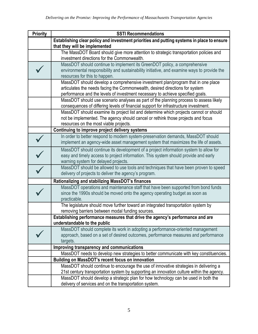| <b>Priority</b> | <b>SSTI Recommendations</b>                                                                                                                                                   |  |  |
|-----------------|-------------------------------------------------------------------------------------------------------------------------------------------------------------------------------|--|--|
|                 | Establishing clear policy and investment priorities and putting systems in place to ensure                                                                                    |  |  |
|                 | that they will be implemented                                                                                                                                                 |  |  |
|                 | The MassDOT Board should give more attention to strategic transportation policies and                                                                                         |  |  |
|                 | investment directions for the Commonwealth.                                                                                                                                   |  |  |
|                 | MassDOT should continue to implement its GreenDOT policy, a comprehensive                                                                                                     |  |  |
|                 | environmental responsibility and sustainability initiative, and examine ways to provide the                                                                                   |  |  |
|                 | resources for this to happen.                                                                                                                                                 |  |  |
|                 | MassDOT should develop a comprehensive investment plan/program that in one place                                                                                              |  |  |
|                 | articulates the needs facing the Commonwealth, desired directions for system                                                                                                  |  |  |
|                 | performance and the levels of investment necessary to achieve specified goals.                                                                                                |  |  |
|                 | MassDOT should use scenario analyses as part of the planning process to assess likely<br>consequences of differing levels of financial support for infrastructure investment. |  |  |
|                 | MassDOT should examine its project list and determine which projects cannot or should                                                                                         |  |  |
|                 | not be implemented. The agency should cancel or rethink those projects and focus                                                                                              |  |  |
|                 | resources on the most viable projects.                                                                                                                                        |  |  |
|                 | Continuing to improve project delivery systems                                                                                                                                |  |  |
|                 | In order to better respond to modern system-preservation demands, MassDOT should                                                                                              |  |  |
|                 | implement an agency-wide asset management system that maximizes the life of assets.                                                                                           |  |  |
|                 | MassDOT should continue its development of a project information system to allow for                                                                                          |  |  |
|                 | easy and timely access to project information. This system should provide and early                                                                                           |  |  |
|                 | warning system for delayed projects.                                                                                                                                          |  |  |
|                 | MassDOT should be allowed to use tools and techniques that have been proven to speed                                                                                          |  |  |
|                 | delivery of projects to deliver the agency's program.                                                                                                                         |  |  |
|                 | Rationalizing and stabilizing MassDOT's finances                                                                                                                              |  |  |
|                 | MassDOT operations and maintenance staff that have been supported from bond funds                                                                                             |  |  |
|                 | since the 1990s should be moved onto the agency operating budget as soon as                                                                                                   |  |  |
|                 | practicable.                                                                                                                                                                  |  |  |
|                 | The legislature should move further toward an integrated transportation system by                                                                                             |  |  |
|                 | removing barriers between modal funding sources.                                                                                                                              |  |  |
|                 | Establishing performance measures that drive the agency's performance and are<br>understandable to the public                                                                 |  |  |
|                 | MassDOT should complete its work in adopting a performance-oriented management                                                                                                |  |  |
|                 | approach, based on a set of desired outcomes, performance measures and performance                                                                                            |  |  |
|                 | targets.                                                                                                                                                                      |  |  |
|                 | Improving transparency and communications                                                                                                                                     |  |  |
|                 | MassDOT needs to develop new strategies to better communicate with key constituencies.                                                                                        |  |  |
|                 | Building on MassDOT's recent focus on innovation                                                                                                                              |  |  |
|                 | MassDOT should continue to encourage the use of innovative strategies in delivering a                                                                                         |  |  |
|                 | 21st century transportation system by supporting an innovation culture within the agency.                                                                                     |  |  |
|                 | MassDOT should develop a strategic plan for how technology can be used in both the                                                                                            |  |  |
|                 | delivery of services and on the transportation system.                                                                                                                        |  |  |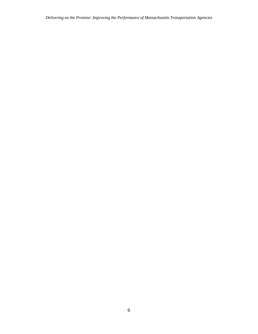*Delivering on the Promise: Improving the Performance of Massachusetts Transportation Agencies*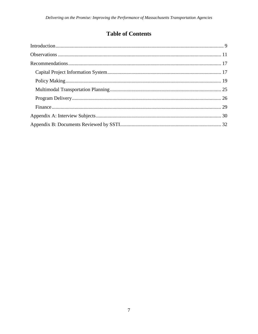# **Table of Contents**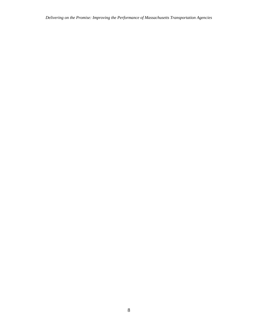*Delivering on the Promise: Improving the Performance of Massachusetts Transportation Agencies*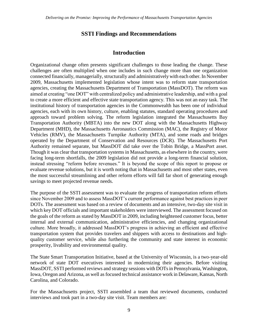# **SSTI Findings and Recommendations**

# **Introduction**

Organizational change often presents significant challenges to those leading the change. These challenges are often multiplied when one includes in such change more than one organization connected financially, managerially, structurally and administratively with each other. In November 2009, Massachusetts implemented legislation whose intent was to reform state transportation agencies, creating the Massachusetts Department of Transportation (MassDOT). The reform was aimed at creating "one DOT" with centralized policy and administrative leadership, and with a goal to create a more efficient and effective state transportation agency. This was not an easy task. The institutional history of transportation agencies in the Commonwealth has been one of individual agencies, each with its own history, culture, enabling statutes, standard operating procedures and approach toward problem solving. The reform legislation integrated the Massachusetts Bay Transportation Authority (MBTA) into the new DOT along with the Massachusetts Highway Department (MHD), the Massachusetts Aeronautics Commission (MAC), the Registry of Motor Vehicles (RMV), the Massachusetts Turnpike Authority (MTA), and some roads and bridges operated by the Department of Conservation and Resources (DCR). The Massachusetts Port Authority remained separate, but MassDOT did take over the Tobin Bridge, a MassPort asset. Though it was clear that transportation systems in Massachusetts, as elsewhere in the country, were facing long-term shortfalls, the 2009 legislation did not provide a long-term financial solution, instead stressing "reform before revenues." It is beyond the scope of this report to propose or evaluate revenue solutions, but it is worth noting that in Massachusetts and most other states, even the most successful streamlining and other reform efforts will fall far short of generating enough savings to meet projected revenue needs.

The purpose of the SSTI assessment was to evaluate the progress of transportation reform efforts since November 2009 and to assess MassDOT's current performance against best practices in peer DOTs. The assessment was based on a review of documents and an intensive, two-day site visit in which key DOT officials and important stakeholders were interviewed. The assessment focused on the goals of the reform as stated by MassDOT in 2009, including heightened customer focus, better internal and external communication, administrative efficiencies, and changing organizational culture. More broadly, it addressed MassDOT's progress in achieving an efficient and effective transportation system that provides travelers and shippers with access to destinations and highquality customer service, while also furthering the community and state interest in economic prosperity, livability and environmental quality.

The State Smart Transportation Initiative, based at the University of Wisconsin, is a two-year-old network of state DOT executives interested in modernizing their agencies. Before visiting MassDOT, SSTI performed reviews and strategy sessions with DOTs in Pennsylvania, Washington, Iowa, Oregon and Arizona, as well as focused technical assistance work in Delaware, Kansas, North Carolina, and Colorado.

For the Massachusetts project, SSTI assembled a team that reviewed documents, conducted interviews and took part in a two-day site visit. Team members are: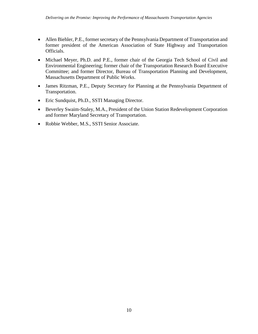- Allen Biehler, P.E., former secretary of the Pennsylvania Department of Transportation and former president of the American Association of State Highway and Transportation Officials.
- Michael Meyer, Ph.D. and P.E., former chair of the Georgia Tech School of Civil and Environmental Engineering; former chair of the Transportation Research Board Executive Committee; and former Director, Bureau of Transportation Planning and Development, Massachusetts Department of Public Works.
- James Ritzman, P.E., Deputy Secretary for Planning at the Pennsylvania Department of Transportation.
- Eric Sundquist, Ph.D., SSTI Managing Director.
- Beverley Swaim-Staley, M.A., President of the Union Station Redevelopment Corporation and former Maryland Secretary of Transportation.
- Robbie Webber, M.S., SSTI Senior Associate.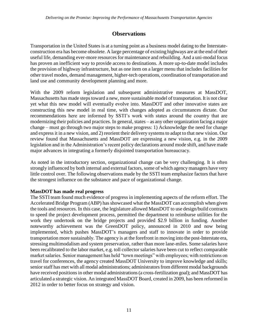## **Observations**

Transportation in the United States is at a turning point as a business model dating to the Interstateconstruction era has become obsolete. A large percentage of existing highways are at the end of their useful life, demanding ever-more resources for maintenance and rebuilding. And a uni-modal focus has proven an inefficient way to provide access to destinations. A more up-to-date model includes the provision of highway infrastructure, but as one item on a larger menu that includes facilities for other travel modes, demand management, higher-tech operations, coordination of transportation and land use and community development planning and more.

With the 2009 reform legislation and subsequent administrative measures at MassDOT, Massachusetts has made steps toward a new, more sustainable model of transportation. It is not clear yet what this new model will eventually evolve into. MassDOT and other innovative states are constructing this new model in real time, with changes adopted as circumstances dictate. Our recommendations here are informed by SSTI's work with states around the country that are modernizing their policies and practices. In general, states – as any other organization facing a major change – must go through two major steps to make progress: 1) Acknowledge the need for change and express it in a new vision, and 2) reorient their delivery systems to adapt to that new vision. Our review found that Massachusetts and MassDOT are expressing a new vision, e.g. in the 2009 legislation and in the Administration's recent policy declarations around mode shift, and have made major advances in integrating a formerly disjointed transportation bureaucracy.

As noted in the introductory section, organizational change can be very challenging. It is often strongly influenced by both internal and external factors, some of which agency managers have very little control over. The following observations made by the SSTI team emphasize factors that have the strongest influence on the substance and pace of organizational change.

#### **MassDOT has made real progress**

The SSTI team found much evidence of progress in implementing aspects of the reform effort. The Accelerated Bridge Program (ABP) has showcased what the MassDOT can accomplish when given the tools and resources. In this case, the legislature allowed MassDOT to use design/build contracts to speed the project development process, permitted the department to reimburse utilities for the work they undertook on the bridge projects and provided \$2.9 billion in funding. Another noteworthy achievement was the GreenDOT policy, announced in 2010 and now being implemented, which pushes MassDOT's managers and staff to innovate in order to provide transportation more sustainably. The agency is at the forefront in moving into the post-Interstate era, stressing multimodalism and system preservation, rather than more lane-miles. Some salaries have been recalibrated to the labor market, e.g. toll collector salaries have been cut to reflect comparable market salaries. Senior management has held "town meetings" with employees; with restrictions on travel for conferences, the agency created MassDOT University to improve knowledge and skills; senior staff has met with all modal administrations; administrators from different modal backgrounds have received positions in other modal administrations (a cross-fertilization goal); and MassDOT has articulated a strategic vision. An integrated MassDOT Board, created in 2009, has been reformed in 2012 in order to better focus on strategy and vision.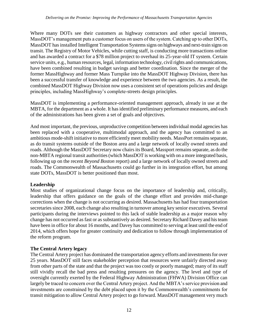Where many DOTs see their customers as highway contractors and other special interests, MassDOT's management puts a customer focus on users of the system. Catching up to other DOTs, MassDOT has installed Intelligent Transportation Systems signs on highways and next-train signs on transit. The Registry of Motor Vehicles, while cutting staff, is conducting more transactions online and has awarded a contract for a \$78 million project to overhaul its 25-year-old IT system. Certain service units, e.g., human resources, legal, information technology, civil rights and communications, have been combined resulting in budget savings and better coordination. Since the merger of the former MassHighway and former Mass Turnpike into the MassDOT Highway Division, there has been a successful transfer of knowledge and experience between the two agencies. As a result, the combined MassDOT Highway Division now uses a consistent set of operations policies and design principles, including MassHighway's complete-streets design principles.

MassDOT is implementing a performance-oriented management approach, already in use at the MBTA, for the department as a whole. It has identified preliminary performance measures, and each of the administrations has been given a set of goals and objectives.

And most important, the previous, unproductive competition between individual modal agencies has been replaced with a cooperative, multimodal approach, and the agency has committed to an ambitious mode-shift initiative to more efficiently meet mobility needs. MassPort remains separate, as do transit systems outside of the Boston area and a large network of locally owned streets and roads. Although the MassDOT Secretary now chairs its Board, Massport remains separate, as do the non-MBTA regional transit authorities (which MassDOT is working with on a more integrated basis, following up on the recent *Beyond Boston* report) and a large network of locally owned streets and roads. The Commonwealth of Massachusetts could go further in its integration effort, but among state DOTs, MassDOT is better positioned than most.

#### **Leadership**

Most studies of organizational change focus on the importance of leadership and, critically, leadership that offers guidance on the goals of the change effort and provides mid-change corrections when the change is not occurring as desired. Massachusetts has had four transportation secretaries since 2008, each change also resulting in turnover among key senior executives. Several participants during the interviews pointed to this lack of stable leadership as a major reason why change has not occurred as fast or as substantively as desired. Secretary Richard Davey and his team have been in office for about 16 months, and Davey has committed to serving at least until the end of 2014, which offers hope for greater continuity and dedication to follow through implementation of the reform program.

#### **The Central Artery legacy**

The Central Artery project has dominated the transportation agency efforts and investments for over 25 years. MassDOT still faces stakeholder perception that resources were unfairly directed away from other parts of the state and that the project was too costly or poorly managed; many of its staff still vividly recall the bad press and resulting pressures on the agency. The level and type of oversight currently exerted by the Federal Highway Administration (FHWA) Division Office can largely be traced to concern over the Central Artery project. And the MBTA's service provision and investments are constrained by the debt placed upon it by the Commonwealth's commitments for transit mitigation to allow Central Artery project to go forward. MassDOT management very much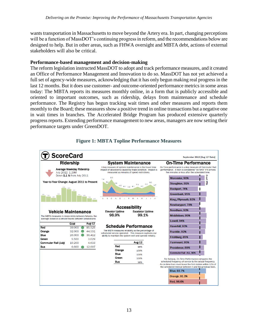wants transportation in Massachusetts to move beyond the Artery era. In part, changing perceptions will be a function of MassDOT's continuing progress in reform, and the recommendations below are designed to help. But in other areas, such as FHWA oversight and MBTA debt, actions of external stakeholders will also be critical.

#### **Performance-based management and decision-making**

The reform legislation instructed MassDOT to adopt and track performance measures, and it created an Office of Performance Management and Innovation to do so. MassDOT has not yet achieved a full set of agency-wide measures, acknowledging that it has only begun making real progress in the last 12 months. But it does use customer- and outcome-oriented performance metrics in some areas today: The MBTA reports its measures monthly online, in a form that is publicly accessible and oriented to important outcomes, such as ridership, delays from maintenance and schedule performance. The Registry has begun tracking wait times and other measures and reports them monthly to the Board; these measures show a positive trend in online transactions but a negative one in wait times in branches. The Accelerated Bridge Program has produced extensive quarterly progress reports. Extending performance management to new areas, managers are now setting their performance targets under GreenDOT.



#### **Figure 1: MBTA Topline Performance Measures**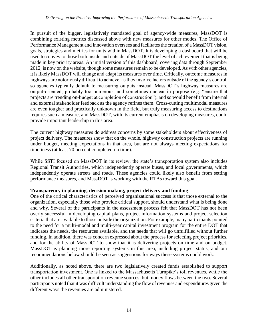In pursuit of the bigger, legislatively mandated goal of agency-wide measures, MassDOT is combining existing metrics discussed above with new measures for other modes. The Office of Performance Management and Innovation oversees and facilitates the creation of a MassDOT vision, goals, strategies and metrics for units within MassDOT. It is developing a dashboard that will be used to convey to those both inside and outside of MassDOT the level of achievement that is being made in key priority areas. An initial version of this dashboard, covering data through September 2012, is now on the website, though some measures remain to be developed. As with other agencies, it is likely MassDOT will change and adapt its measures over time. Critically, outcome measures in highways are notoriously difficult to achieve, as they involve factors outside of the agency's control, so agencies typically default to measuring outputs instead. MassDOT's highway measures are output-oriented, probably too numerous, and sometimes unclear in purpose (e.g. "ensure that projects are trending on-budget at completion of construction"), and so would benefit from internal and external stakeholder feedback as the agency refines them. Cross-cutting multimodal measures are even tougher and practically unknown in the field, but truly measuring access to destinations requires such a measure, and MassDOT, with its current emphasis on developing measures, could provide important leadership in this area.

The current highway measures do address concerns by some stakeholders about effectiveness of project delivery. The measures show that on the whole, highway construction projects are running under budget, meeting expectations in that area, but are not always meeting expectations for timeliness (at least 70 percent completed on time).

While SSTI focused on MassDOT in its review, the state's transportation system also includes Regional Transit Authorities, which independently operate buses, and local governments, which independently operate streets and roads. These agencies could likely also benefit from setting performance measures, and MassDOT is working with the RTAs toward this goal.

#### **Transparency in planning, decision making, project delivery and funding**

One of the critical characteristics of perceived organizational success is that those external to the organization, especially those who provide critical support, should understand what is being done and why. Several of the participants in the assessment process felt that MassDOT has not been overly successful in developing capital plans, project information systems and project selection criteria that are available to those outside the organization. For example, many participants pointed to the need for a multi-modal and multi-year capital investment program for the entire DOT that indicates the needs, the resources available, and the needs that will go unfulfilled without further funding. In addition, there was concern expressed about the process for selecting project priorities, and for the ability of MassDOT to show that it is delivering projects on time and on budget. MassDOT is planning more reporting systems in this area, including project status, and our recommendations below should be seen as suggestions for ways these systems could work.

Additionally, as noted above, there are two legislatively created funds established to support transportation investment. One is linked to the Massachusetts Turnpike's toll revenues, while the other includes all other transportation revenue sources, but money flows between the two. Several participants noted that it was difficult understanding the flow of revenues and expenditures given the different ways the revenues are administered.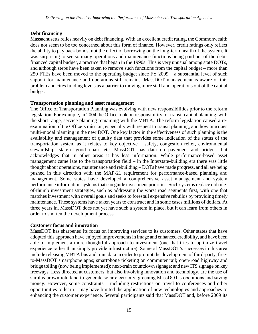#### **Debt financing**

Massachusetts relies heavily on debt financing. With an excellent credit rating, the Commonwealth does not seem to be too concerned about this form of finance. However, credit ratings only reflect the ability to pay back bonds, not the effect of borrowing on the long-term health of the system. It was surprising to see so many operations and maintenance functions being paid out of the debtfinanced capital budget, a practice that began in the 1990s. This is very unusual among state DOTs, and although steps have been taken to remove such functions from the capital budget – more than 250 FTEs have been moved to the operating budget since FY 2009 – a substantial level of such support for maintenance and operations still remains. MassDOT management is aware of this problem and cites funding levels as a barrier to moving more staff and operations out of the capital budget.

#### **Transportation planning and asset management**

The Office of Transportation Planning was evolving with new responsibilities prior to the reform legislation. For example, in 2004 the Office took on responsibility for transit capital planning, with the short range, service planning remaining with the MBTA. The reform legislation caused a reexamination of the Office's mission, especially with respect to transit planning, and how one does multi-modal planning in the new DOT. One key factor in the effectiveness of such planning is the availability and management of quality data that provides some indication of the status of the transportation system as it relates to key objective – safety, congestion relief, environmental stewardship, state-of-good-repair, etc. MassDOT has data on pavement and bridges, but acknowledges that in other areas it has less information. While performance-based asset management came late to the transportation field – in the Interstate-building era there was little thought about operations, maintenance and rebuilding – DOTs have made progress, and all are being pushed in this direction with the MAP-21 requirement for performance-based planning and management. Some states have developed a comprehensive asset management and system performance information systems that can guide investment priorities. Such systems replace old ruleof-thumb investment strategies, such as addressing the worst road segments first, with one that matches investment with overall goals and seeks to forestall expensive rebuilds by providing timely maintenance. These systems have taken years to construct and in some cases millions of dollars. At three years in, MassDOT does not yet have such a system in place, but it can learn from others in order to shorten the development process.

#### **Customer focus and innovation**

MassDOT has sharpened its focus on improving services to its customers. Other states that have adopted this approach have enjoyed improvements in image and enhanced credibility, and have been able to implement a more thoughtful approach to investment (one that tries to optimize travel experience rather than simply provide infrastructure). Some of MassDOT's successes in this area include releasing MBTA bus and train data in order to prompt the development of third-party, freeto-MassDOT smartphone apps; smartphone ticketing on commuter rail; open-road highway and bridge tolling (now being implemented); next-train countdown signage; and new ITS signage on key freeways. Less directed at customers, but also involving innovation and technology, are the use of surplus brownfield land to generate solar electricity, greening MassDOT's operations and saving money. However, some constraints – including restrictions on travel to conferences and other opportunities to learn – may have limited the application of new technologies and approaches to enhancing the customer experience. Several participants said that MassDOT and, before 2009 its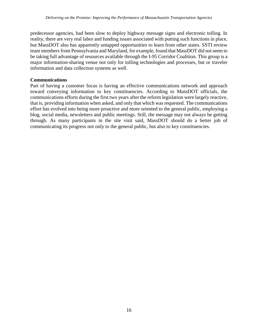predecessor agencies, had been slow to deploy highway message signs and electronic tolling. In reality, there are very real labor and funding issues associated with putting such functions in place, but MassDOT also has apparently untapped opportunities to learn from other states. SSTI review team members from Pennsylvania and Maryland, for example, found that MassDOT did not seem to be taking full advantage of resources available through the I-95 Corridor Coalition. This group is a major information-sharing venue not only for tolling technologies and processes, but or traveler information and data collection systems as well.

#### **Communications**

Part of having a customer focus is having an effective communications network and approach toward conveying information to key constituencies. According to MassDOT officials, the communications efforts during the first two years after the reform legislation were largely reactive, that is, providing information when asked, and only that which was requested. The communications effort has evolved into being more proactive and more oriented to the general public, employing a blog, social media, newsletters and public meetings. Still, the message may not always be getting through. As many participants in the site visit said, MassDOT should do a better job of communicating its progress not only to the general public, but also to key constituencies.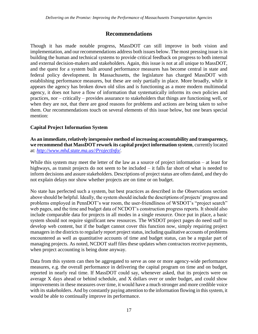# **Recommendations**

Though it has made notable progress, MassDOT can still improve in both vision and implementation, and our recommendations address both issues below. The most pressing issue is in building the human and technical systems to provide critical feedback on progress to both internal and external decision-makers and stakeholders. Again, this issue is not at all unique to MassDOT, and the quest for a system built around performance measures has become central in state and federal policy development. In Massachusetts, the legislature has charged MassDOT with establishing performance measures, but these are only partially in place. More broadly, while it appears the agency has broken down old silos and is functioning as a more modern multimodal agency, it does not have a flow of information that systematically informs its own policies and practices, nor – critically – provides assurance to stakeholders that things are functioning well, or when they are not, that there are good reasons for problems and actions are being taken to solve them. Our recommendations touch on several elements of this issue below, but one bears special mention:

#### **Capital Project Information System**

#### **As an immediate, relatively inexpensive method of increasing accountability and transparency, we recommend that MassDOT rework its capital project information system**, currently located at: *[http://www.mhd.state.ma.us//ProjectInfo/](http://www.mhd.state.ma.us/default.asp?pgid=content/projectsRoot&sid=wrapper&iid=http://www.mhd.state.ma.us//ProjectInfo/)*.

While this system may meet the letter of the law as a source of project information – at least for highways, as transit projects do not seem to be included – it falls far short of what is needed to inform decisions and assure stakeholders. Descriptions of project status are often dated, and they do not explain delays nor show whether projects are on time or on budget.

No state has perfected such a system, but best practices as described in the Observations section above should be helpful. Ideally, the system should include the descriptions of projects' progress and problems employed in PennDOT's war room, the user-friendliness of WSDOT's "project search" web pages, and the time and budget data of NCDOT's construction progress reports. It should also include comparable data for projects in all modes in a single resource. Once put in place, a basic system should not require significant new resources. The WSDOT project pages do need staff to develop web content, but if the budget cannot cover this function now, simply requiring project managers in the districts to regularly report project status, including qualitative accounts of problems encountered as well as quantitative accounts of time and budget status, can be a regular part of managing projects. As noted, NCDOT staff files these updates when contractors receive payments, when project accounting is being done anyway.

Data from this system can then be aggregated to serve as one or more agency-wide performance measures, e.g. the overall performance in delivering the capital program on time and on budget, reported in nearly real time. If MassDOT could say, whenever asked, that its projects were on average X days ahead or behind schedule, and X dollars over or under budget, and could show improvements in these measures over time, it would have a much stronger and more credible voice with its stakeholders. And by constantly paying attention to the information flowing in this system, it would be able to continually improve its performance.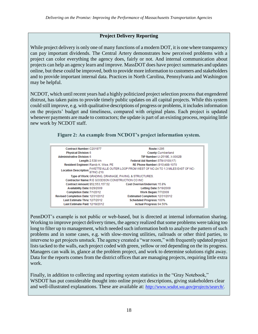### **Project Delivery Reporting**

While project delivery is only one of many functions of a modern DOT, it is one where transparency can pay important dividends. The Central Artery demonstrates how perceived problems with a project can color everything the agency does, fairly or not. And internal communication about projects can help an agency learn and improve. MassDOT does have project summaries and updates online, but these could be improved, both to provide more information to customers and stakeholders and to provide important internal data. Practices in North Carolina, Pennsylvania and Washington may be helpful.

NCDOT, which until recent years had a highly politicized project selection process that engendered distrust, has taken pains to provide timely public updates on all capital projects. While this system could still improve, e.g. with qualitative descriptions of progress or problems, it includes information on the projects' budget and timeliness, compared with original plans. Each project is updated whenever payments are made to contractors; the update is part of an existing process, requiring little new work by NCDOT staff.

**Figure 2: An example from NCDOT's project information system.**

| Contract Number: C201977                                                                  | <b>Route: 1-295</b>              |  |
|-------------------------------------------------------------------------------------------|----------------------------------|--|
| Physical Division: 6                                                                      | County: Cumberland               |  |
| <b>Administrative Division: 6</b>                                                         | TIP Number: U-2519E, X-0002B     |  |
| <b>Length: 2.538 km</b>                                                                   | Federal Aid Number: STM-0100(17) |  |
| Resident Engineer: Randy K. Wise, PE                                                      | RE Phone Number: (910)488-1070   |  |
| Location Description: FAYETTEVILLE OUTER LOOP FROM WEST OF NC-24 TO 1.3 MILES EAST OF NC- |                                  |  |
| Type of Work: GRADING, DRAINAGE, PAVING, & STRUCTURES.                                    |                                  |  |
| Contractor Name: R E GOODSON CONSTRUCTION CO INC                                          |                                  |  |
| Contract Amount: \$52,553,157.52                                                          | Cost Overrun/Underrun: 15.8%     |  |
| Availability Date: 6/29/2009                                                              | Letting Date: 5/19/2009          |  |
| Completion Date: 7/1/2012                                                                 | <b>Work Began: 7/7/2009</b>      |  |
| Revised Completion Date: 12/31/2012                                                       | Estimated Completion: 12/31/2012 |  |
| Last Estimate Thru: 12/7/2012                                                             | <b>Scheduled Progress: 100%</b>  |  |
| Last Estimate Paid: 12/18/2012                                                            | <b>Actual Progress: 94.56%</b>   |  |
|                                                                                           |                                  |  |

PennDOT's example is not public or web-based, but is directed at internal information sharing. Working to improve project delivery times, the agency realized that some problems were taking too long to filter up to management, which needed such information both to analyze the pattern of such problems and in some cases, e.g. with slow-moving utilities, railroads or other third parties, to intervene to get projects unstuck. The agency created a "war room," with frequently updated project lists tacked to the walls, each project coded with green, yellow or red depending on the its progress. Managers can walk in, glance at the problem project, and work to determine solutions right away. Data for the reports comes from the district offices that are managing projects, requiring little extra work.

Finally, in addition to collecting and reporting system statistics in the "Gray Notebook," WSDOT has put considerable thought into online project descriptions, giving stakeholders clear and well-illustrated explanations. These are available at: *<http://www.wsdot.wa.gov/projects/search/>*.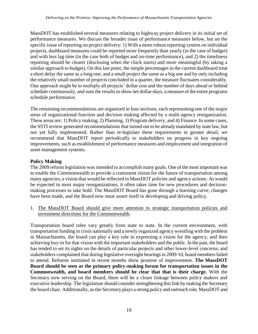MassDOT has established several measures relating to highway project delivery in its initial set of performance measures. We discuss the broader issue of performance measures below, but on the specific issue of reporting on project delivery: 1) With a more robust reporting system on individual projects, dashboard measures could be reported more frequently than yearly (in the case of budget) and with less lag time (in the case both of budget and on-time performance), and 2) the timeliness reporting should be clearer (disclosing when the clock starts) and more meaningful (by taking a similar approach to budget). On this last point, the simple percentages in the current dashboard treat a short delay the same as a long one, and a small project the same as a big one and by only including the relatively small number of projects concluded in a quarter, the measure fluctuates considerably. One approach might be to multiply all projects' dollar cost and the number of days ahead or behind schedule continuously, and sum the results to show net dollar-days, a measure of the entire programs schedule performance.

The remaining recommendations are organized in four sections, each representing one of the major areas of organizational function and decision making affected by a multi-agency reorganization. These areas are: 1) Policy making, 2) Planning, 3) Program delivery, and 4) Finance. In some cases, the SSTI review generated recommendations that turned out to be already mandated by state law, but not yet fully implemented. Rather than re-legislate these requirements in greater detail, we recommend that MassDOT report periodically to stakeholders on progress in key ongoing improvements, such as establishment of performance measures and employment and integration of asset management systems.

#### **Policy Making**

The 2009 reform legislation was intended to accomplish many goals. One of the most important was to enable the Commonwealth to provide a consistent vision for the future of transportation among many agencies, a vision that would be reflected in MassDOT policies and agency actions. As would be expected in most major reorganizations, it often takes time for new procedures and decisionmaking processes to take hold. The MassDOT Board has gone through a learning curve, changes have been made, and the Board now must assert itself in developing and driving policy.

1. The MassDOT Board should give more attention to strategic transportation policies and investment directions for the Commonwealth.

Transportation board roles vary greatly from state to state. In the current environment, with transportation funding in crisis nationally and a newly organized agency wrestling with the problem in Massachusetts, the board can play a key role in expressing a vision for the agency, and then achieving buy-in for that vision with the important stakeholders and the public. In the past, the board has tended to set its sights on the details of particular projects and other lower-level concerns, and stakeholders complained that during legislative oversight hearings in 2009-10, board members failed to attend. Reforms instituted in recent months show promise of improvement. **The MassDOT Board should be seen as the primary policy-making forum for transportation issues in the Commonwealth, and board members should be clear that that is their charge.** With the Secretary now serving on the Board, there will be a closer linkage between policy makers and executive leadership. The legislature should consider strengthening this link by making the Secretary the board chair. Additionally, as the Secretary plays a strong policy and outreach role, MassDOT and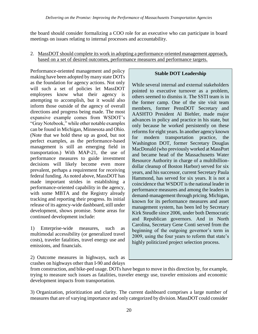the board should consider formalizing a COO role for an executive who can participate in board meetings on issues relating to internal processes and accountability.

2. MassDOT should complete its work in adopting a performance-oriented management approach, based on a set of desired outcomes, performance measures and performance targets.

Performance-oriented management and policy making have been adopted by many state DOTs as the foundation for agency actions. Not only will such a set of policies let MassDOT employees know what their agency is attempting to accomplish, but it would also inform those outside of the agency of overall directions and progress being made. The most expansive example comes from WSDOT's "Gray Notebook," while other notable examples can be found in Michigan, Minnesota and Ohio. (Note that we hold these up as good, but not perfect examples, as the performance-based management is still an emerging field in transportation.) With MAP-21, the use of performance measures to guide investment decisions will likely become even more prevalent, perhaps a requirement for receiving federal funding. As noted above, MassDOT has made important strides in establishing a performance-oriented capability in the agency, with some MBTA and the Registry already tracking and reporting their progress. Its initial release of its agency-wide dashboard, still under development, shows promise. Some areas for continued development include:

1) Enterprise-wide measures, such as multimodal accessibility (or generalized travel costs), traveler fatalities, travel energy use and emissions, and financials.

2) Outcome measures in highways, such as crashes on highways other than I-90 and delays

#### **Stable DOT Leadership**

While several internal and external stakeholders pointed to executive turnover as a problem, others seemed to dismiss it. The SSTI team is in the former camp. One of the site visit team members, former PennDOT Secretary and AASHTO President Al Biehler, made major advances in policy and practice in his state, but only because he worked persistently on these reforms for eight years. In another agency known for modern transportation practice, the Washington DOT, former Secretary Douglas MacDonald (who previously worked at MassPort and became head of the Massachusetts Water Resource Authority in charge of a multibilliondollar cleanup of Boston Harbor) served for six years, and his successor, current Secretary Paula Hammond, has served for six years. It is not a coincidence that WSDOT is the national leader in performance measures and among the leaders in demand-management through pricing. Michigan, known for its performance measures and asset management system, has been led by Secretary Kirk Steudle since 2006, under both Democratic and Republican governors. And in North Carolina, Secretary Gene Conti served from the beginning of the outgoing governor's term in 2009, using the four years to reform that state's highly politicized project selection process.

from construction, and bike-ped usage. DOTs have begun to move in this direction by, for example, trying to measure such issues as fatalities, traveler energy use, traveler emissions and economic development impacts from transportation.

3) Organization, prioritization and clarity. The current dashboard comprises a large number of measures that are of varying importance and only categorized by division. MassDOT could consider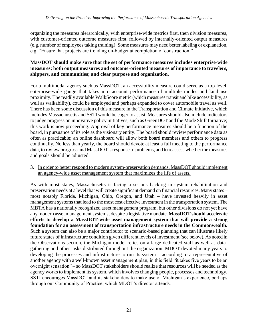organizing the measures hierarchically, with enterprise-wide metrics first, then division measures, with customer-oriented outcome measures first, followed by internally-oriented output measures (e.g. number of employees taking training). Some measures may need better labeling or explanation, e.g. "Ensure that projects are trending on-budget at completion of construction."

#### **MassDOT should make sure that the set of performance measures includes enterprise-wide measures; both output measures and outcome-oriented measures of importance to travelers, shippers, and communities; and clear purpose and organization.**

For a multimodal agency such as MassDOT, an accessibility measure could serve as a top-level, enterprise-wide gauge that takes into account performance of multiple modes and land use proximity. The readily available WalkScore metric (which measures transit and bike accessibility, as well as walkability), could be employed and perhaps expanded to cover automobile travel as well. There has been some discussion of this measure in the Transportation and Climate Initiative, which includes Massachusetts and SSTI would be eager to assist. Measures should also include indicators to judge progress on innovative policy initiatives, such as GreenDOT and the Mode Shift Initiative; this work is now proceeding. Approval of key performance measures should be a function of the board, in pursuance of its role as the visionary entity. The board should review performance data as often as practicable; an online dashboard will allow both board members and others to progress continually. No less than yearly, the board should devote at least a full meeting to the performance data, to review progress and MassDOT's response to problems, and to reassess whether the measures and goals should be adjusted.

3. In order to better respond to modern system-preservation demands, MassDOT should implement an agency-wide asset management system that maximizes the life of assets.

As with most states, Massachusetts is facing a serious backlog in system rehabilitation and preservation needs at a level that will create significant demand on financial resources. Many states – most notably Florida, Michigan, Ohio, Oregon, and Utah – have invested heavily in asset management systems that lead to the most cost effective investment in the transportation system. The MBTA has a nationally recognized asset management program, but other divisions do not yet have any modern asset management systems, despite a legislative mandate. **MassDOT should accelerate efforts to develop a MassDOT-wide asset management system that will provide a strong foundation for an assessment of transportation infrastructure needs in the Commonwealth.**  Such a system can also be a major contributor to scenario-based planning that can illustrate likely future states of infrastructure condition given different levels of investment (see below). As noted in the Observations section, the Michigan model relies on a large dedicated staff as well as datagathering and other tasks distributed throughout the organization. MDOT devoted many years to developing the processes and infrastructure to run its system – according to a representative of another agency with a well-known asset management plan, in this field "it takes five years to be an overnight sensation" – so MassDOT stakeholders should realize that resources will be needed as the agency works to implement its system, which involves changing people, processes and technology. SSTI encourages MassDOT and its stakeholders to make use of Michigan's experience, perhaps through our Community of Practice, which MDOT's director attends.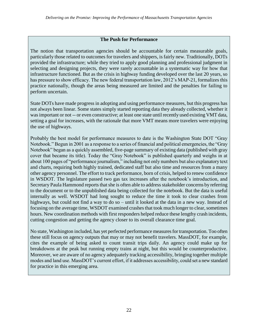#### **The Push for Performance**

The notion that transportation agencies should be accountable for certain measurable goals, particularly those related to outcomes for travelers and shippers, is fairly new. Traditionally, DOTs provided the infrastructure; while they tried to apply good planning and professional judgment in selecting and designing projects, they were rarely accountable in a systematic way for how that infrastructure functioned. But as the crisis in highway funding developed over the last 20 years, so has pressure to show efficacy. The new federal transportation law, 2012's MAP-21, formalizes this practice nationally, though the areas being measured are limited and the penalties for failing to perform uncertain.

State DOTs have made progress in adopting and using performance measures, but this progress has not always been linear. Some states simply started reporting data they already collected, whether it was important or not -- or even constructive; at least one state until recently used existing VMT data, setting a goal for increases, with the rationale that more VMT means more travelers were enjoying the use of highways.

Probably the best model for performance measures to date is the Washington State DOT "Gray Notebook." Begun in 2001 as a response to a series of financial and political emergencies, the "Gray Notebook" began as a quickly assembled, five-page summary of existing data (published with gray cover that became its title). Today the "Gray Notebook" is published quarterly and weighs in at about 100 pages of "performance journalism," including not only numbers but also explanatory text and charts, requiring both highly trained, dedicated staff but also time and resources from a many other agency personnel. The effort to track performance, born of crisis, helped to renew confidence in WSDOT. The legislature passed two gas tax increases after the notebook's introduction, and Secretary Paula Hammond reports that she is often able to address stakeholder concerns by referring to the document or to the unpublished data being collected for the notebook. But the data is useful internally as well. WSDOT had long sought to reduce the time it took to clear crashes from highways, but could not find a way to do so – until it looked at the data in a new way. Instead of focusing on the average time, WSDOT examined crashes that took much longer to clear, sometimes hours. New coordination methods with first responders helped reduce these lengthy crash incidents, cutting congestion and getting the agency closer to its overall clearance time goal.

No state, Washington included, has yet perfected performance measures for transportation. Too often these still focus on agency outputs that may or may not benefit travelers. MassDOT, for example, cites the example of being asked to count transit trips daily. An agency could make up for breakdowns at the peak but running empty trains at night, but this would be counterproductive. Moreover, we are aware of no agency adequately tracking accessibility, bringing together multiple modes and land use. MassDOT's current effort, if it addresses accessibility, could set a new standard for practice in this emerging area.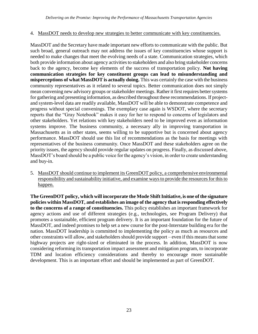#### 4. MassDOT needs to develop new strategies to better communicate with key constituencies.

MassDOT and the Secretary have made important new efforts to communicate with the public. But such broad, general outreach may not address the issues of key constituencies whose support is needed to make changes that meet the evolving needs of a state. Communication strategies, which both provide information about agency activities to stakeholders and also bring stakeholder concerns back to the agency, become key elements of the success of transportation policy. **Not having communication strategies for key constituent groups can lead to misunderstanding and misperceptions of what MassDOT is actually doing.** This was certainly the case with the business community representatives as it related to several topics. Better communication does not simply mean convening new advisory groups or stakeholder meetings. Rather it first requires better systems for gathering and presenting information, as described throughout these recommendations. If projectand system-level data are readily available, MassDOT will be able to demonstrate competence and progress without special convenings. The exemplary case again is WSDOT, where the secretary reports that the "Gray Notebook" makes it easy for her to respond to concerns of legislators and other stakeholders. Yet relations with key stakeholders need to be improved even as information systems improve. The business community, a necessary ally in improving transportation in Massachusetts as in other states, seems willing to be supportive but is concerned about agency performance. MassDOT should use this list of recommendations as the basis for meetings with representatives of the business community. Once MassDOT and these stakeholders agree on the priority issues, the agency should provide regular updates on progress. Finally, as discussed above, MassDOT's board should be a public voice for the agency's vision, in order to create understanding and buy-in.

5. MassDOT should continue to implement its GreenDOT policy, a comprehensive environmental responsibility and sustainability initiative, and examine ways to provide the resources for this to happen.

**The GreenDOT policy, which will incorporate the Mode Shift Initiative, is one of the signature policies within MassDOT, and establishes an image of the agency that is responding effectively to the concerns of a range of constituencies.** This policy establishes an important framework for agency actions and use of different strategies (e.g., technologies, see Program Delivery) that promotes a sustainable, efficient program delivery. It is an important foundation for the future of MassDOT, and indeed promises to help set a new course for the post-Interstate building era for the nation. MassDOT leadership is committed to implementing the policy as much as resources and other constraints will allow, and stakeholders should provide support – even if this means that some highway projects are right-sized or eliminated in the process. In addition, MassDOT is now considering reforming its transportation impact assessment and mitigation program, to incorporate TDM and location efficiency considerations and thereby to encourage more sustainable development. This is an important effort and should be implemented as part of GreenDOT.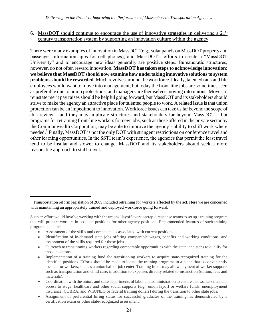6. MassDOT should continue to encourage the use of innovative strategies in delivering a  $21<sup>st</sup>$ century transportation system by supporting an innovation culture within the agency.

There were many examples of innovation in MassDOT (e.g., solar panels on MassDOT property and passenger information apps for cell phones), and MassDOT's efforts to create a "MassDOT University" and to encourage new ideas generally are positive steps. Bureaucratic structures, however, do not often reward innovation. **MassDOT has taken steps to acknowledge innovation; we believe that MassDOT should now examine how undertaking innovative solutions to system problems should be rewarded.** Much revolves around the workforce. Ideally, talented rank and file employees would want to move into management, but today the front-line jobs are sometimes seen as preferable due to union protections, and managers are themselves moving into unions. Moves to reinstate merit pay raises should be helpful going forward, but MassDOT and its stakeholders should strive to make the agency an attractive place for talented people to work. A related issue is that union protection can be an impediment to innovation. Workforce issues can take us far beyond the scope of this review – and they may implicate structures and stakeholders far beyond MassDOT – but programs for retraining front-line workers for new jobs, such as those offered in the private sector by the Commonwealth Corporation, may be able to improve the agency's ability to shift work where needed.<sup>1</sup> Finally, MassDOT is not the only DOT with stringent restrictions on conference travel and other learning opportunities. In the SSTI team's experience, the agencies that permit the least travel tend to be insular and slower to change. MassDOT and its stakeholders should seek a more reasonable approach to staff travel.

Assessment of the skills and competencies associated with current positions.

 $\overline{a}$ 

- Identification of in-demand state jobs offering comparable wages, benefits and working conditions, and assessment of the skills required for those jobs.
- Outreach to transitioning workers regarding comparable opportunities with the state, and steps to qualify for those positions.
- Implementation of a training fund for transitioning workers to acquire state-recognized training for the identified positions. Efforts should be made to locate the training programs in a place that is conveniently located for workers, such as a union hall or job center. Training funds may allow payment of worker supports such as transportation and child care, in addition to expenses directly related to instruction (tuition, fees and materials).
- Coordination with the union, and state departments of labor and administration to ensure that workers maintain access to wage, healthcare and other social supports (e.g., union layoff or welfare funds, unemployment insurance, COBRA, and WIA/NEG or federal training dollars) during the transition to other state jobs.
- Assignment of preferential hiring status for successful graduates of the training, as demonstrated by a certification exam or other state-recognized assessment.

<sup>1</sup> Transportation reform legislation of 2009 included retraining for workers affected by the act. Here we are concerned with maintaining an appropriately trained and deployed workforce going forward.

Such an effort would involve working with the unions' layoff aversion/rapid response teamsto set up a training program that will prepare workers in obsolete positions for other agency positions. Recommended features of such training programs include: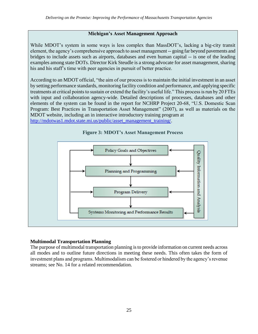#### **Michigan's Asset Management Approach**

While MDOT's system in some ways is less complex than MassDOT's, lacking a big-city transit element, the agency's comprehensive approach to asset management -- going far beyond pavements and bridges to include assets such as airports, databases and even human capital -- is one of the leading examples among state DOTs. Director Kirk Steudle is a strong advocate for asset management, sharing his and his staff's time with peer agencies in pursuit of better practice.

According to an MDOT official, "the aim of our process is to maintain the initial investment in an asset by setting performance standards, monitoring facility condition and performance, and applying specific treatments at critical points to sustain or extend the facility's useful life." This process is run by 20 FTEs with input and collaboration agency-wide. Detailed descriptions of processes, databases and other elements of the system can be found in the report for NCHRP Project 20-68, "U.S. Domestic Scan Program: Best Practices in Transportation Asset Management" (2007), as well as materials on the MDOT website, including an in interactive introductory training program at [http://mdotwas1.mdot.state.mi.us/public/asset\\_management\\_training/.](http://mdotwas1.mdot.state.mi.us/public/asset_management_training/)



#### **Multimodal Transportation Planning**

The purpose of multimodal transportation planning is to provide information on current needs across all modes and to outline future directions in meeting these needs. This often takes the form of investment plans and programs. Multimodalism can be fostered or hindered by the agency's revenue streams; see No. 14 for a related recommendation.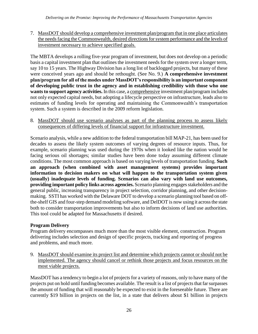7. MassDOT should develop a comprehensive investment plan/program that in one place articulates the needs facing the Commonwealth, desired directions for system performance and the levels of investment necessary to achieve specified goals.

The MBTA develops a rolling five-year program of investment, but does not develop on a periodic basis a capital investment plan that outlines the investment needs for the system over a longer term, say 10 to 15 years. The Highway Division has a long list of backlogged projects, but many of these were conceived years ago and should be rethought. (See No. 9.) **A comprehensive investment plan/program for all of the modes under MassDOT's responsibility is an important component of developing public trust in the agency and in establishing credibility with those who one wants to support agency activities.** In this case, a comprehensive investment plan/program includes not only expected capital needs, but adopting a lifecycle perspective on infrastructure, leads also to estimates of funding levels for operating and maintaining the Commonwealth's transportation system. Such a system is described in the 2009 reform legislation.

8. MassDOT should use scenario analyses as part of the planning process to assess likely consequences of differing levels of financial support for infrastructure investment.

Scenario analysis, while a new addition to the federal transportation bill MAP-21, has been used for decades to assess the likely system outcomes of varying degrees of resource inputs. Thus, for example, scenario planning was used during the 1970s when it looked like the nation would be facing serious oil shortages; similar studies have been done today assuming different climate conditions. The most common approach is based on varying levels of transportation funding. **Such an approach (when combined with asset management systems) provides important information to decision makers on what will happen to the transportation system given (usually) inadequate levels of funding. Scenarios can also vary with land use outcomes, providing important policy links across agencies.** Scenario planning engages stakeholders and the general public, increasing transparency in project selection, corridor planning, and other decisionmaking. SSTI has worked with the Delaware DOT to develop a scenario planning tool based on offthe-shelf GIS and four-step demand modeling software, and DelDOT is now using it across the state both to consider transportation improvements but also to inform decisions of land use authorities. This tool could be adapted for Massachusetts if desired.

#### **Program Delivery**

Program delivery encompasses much more than the most visible element, construction. Program delivering includes selection and design of specific projects, tracking and reporting of progress and problems, and much more.

9. MassDOT should examine its project list and determine which projects cannot or should not be implemented. The agency should cancel or rethink those projects and focus resources on the most viable projects.

MassDOT has a tendency to begin a lot of projects for a variety of reasons, only to have many of the projects put on hold until funding becomes available. The result is a list of projects that far surpasses the amount of funding that will reasonably be expected to exist in the foreseeable future. There are currently \$19 billion in projects on the list, in a state that delivers about \$1 billion in projects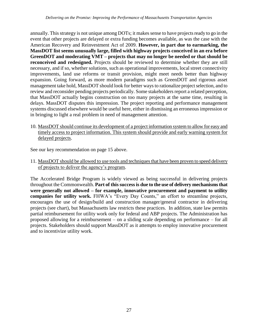annually. This strategy is not unique among DOTs; it makes sense to have projects ready to go in the event that other projects are delayed or extra funding becomes available, as was the case with the American Recovery and Reinvestment Act of 2009. **However, in part due to earmarking, the MassDOT list seems unusually large, filled with highway projects conceived in an era before GreenDOT and moderating VMT – projects that may no longer be needed or that should be reconceived and redesigned.** Projects should be reviewed to determine whether they are still necessary, and if so, whether solutions, such as operational improvements, local street connectivity improvements, land use reforms or transit provision, might meet needs better than highway expansion. Going forward, as more modern paradigms such as GreenDOT and rigorous asset management take hold, MassDOT should look for better ways to rationalize project selection, and to review and reconsider pending projects periodically. Some stakeholders report a related perception, that MassDOT actually begins construction on too many projects at the same time, resulting in delays. MassDOT disputes this impression. The project reporting and performance management systems discussed elsewhere would be useful here, either in dismissing an erroneous impression or in bringing to light a real problem in need of management attention.

10. MassDOT should continue its development of a project information system to allow for easy and timely access to project information. This system should provide and early warning system for delayed projects.

See our key recommendation on page 15 above.

11. MassDOT should be allowed to use tools and techniques that have been proven to speed delivery of projects to deliver the agency's program.

The Accelerated Bridge Program is widely viewed as being successful in delivering projects throughout the Commonwealth. **Part of this success is due to the use of delivery mechanisms that were generally not allowed – for example, innovative procurement and payment to utility companies for utility work.** FHWA's "Every Day Counts," an effort to streamline projects, encourages the use of design/build and construction manager/general contractor in delivering projects (see chart), but Massachusetts law restricts these practices. In addition, state law permits partial reimbursement for utility work only for federal and ABP projects. The Administration has proposed allowing for a reimbursement – on a sliding scale depending on performance – for all projects. Stakeholders should support MassDOT as it attempts to employ innovative procurement and to incentivize utility work.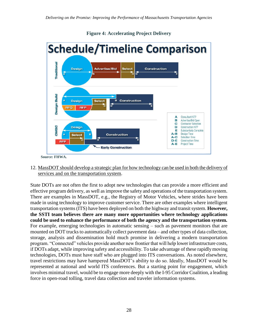

#### **Figure 4: Accelerating Project Delivery**

12. MassDOT should develop a strategic plan for how technology can be used in both the delivery of services and on the transportation system.

State DOTs are not often the first to adopt new technologies that can provide a more efficient and effective program delivery, as well as improve the safety and operations of the transportation system. There are examples in MassDOT, e.g., the Registry of Motor Vehicles, where strides have been made in using technology to improve customer service. There are other examples where intelligent transportation systems (ITS) have been deployed on both the highway and transit system. **However, the SSTI team believes there are many more opportunities where technology applications could be used to enhance the performance of both the agency and the transportation system.**  For example, emerging technologies in automatic sensing – such as pavement monitors that are mounted on DOT trucks to automatically collect pavement data – and other types of data collection, storage, analysis and dissemination hold much promise in delivering a modern transportation program. "Connected" vehicles provide another new frontier that will help lower infrastructure costs, if DOTs adapt, while improving safety and accessibility. To take advantage of these rapidly moving technologies, DOTs must have staff who are plugged into ITS conversations. As noted elsewhere, travel restrictions may have hampered MassDOT's ability to do so. Ideally, MassDOT would be represented at national and world ITS conferences. But a starting point for engagement, which involves minimal travel, would be to engage more deeply with the I-95 Corridor Coalition, a leading force in open-road tolling, travel data collection and traveler information systems.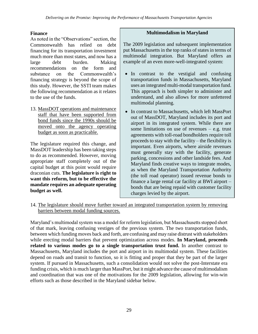## **Finance**

As noted in the "Observations" section, the Commonwealth has relied on debt financing for its transportation investment much more than most states, and now has a large debt burden. Making recommendations on the form and substance on the Commonwealth's financing strategy is beyond the scope of this study. However, the SSTI team makes the following recommendation as it relates to the use of the funds.

13. MassDOT operations and maintenance staff that have been supported from bond funds since the 1990s should be moved onto the agency operating budget as soon as practicable.

The legislature required this change, and MassDOT leadership has been taking steps to do as recommended. However, moving appropriate staff completely out of the capital budget at this point would require draconian cuts. **The legislature is right to want this reform, but to be effective the mandate requires an adequate operating budget as well.**

#### **Multimodalism in Maryland**

The 2009 legislation and subsequent implementation put Massachusetts in the top ranks of states in terms of multimodal integration. But Maryland offers an example of an even more-well-integrated system:

- In contrast to the vestigial and confusing transportation funds in Massachusetts, Maryland uses an integrated multi-modal transportation fund. This approach is both simpler to administer and understand, and also allows for more unfettered multimodal planning.
- In contrast to Massachusetts, which left MassPort out of MassDOT, Maryland includes its port and airport in its integrated system. While there are some limitations on use of revenues – e.g. trust agreements with toll-road bondholders require toll proceeds to stay with the facility – the flexibility is important. Even airports, where airside revenues must generally stay with the facility, generate parking, concessions and other landside fees. And Maryland finds creative ways to integrate modes, as when the Maryland Transportation Authority (the toll road operator) issued revenue bonds to finance a large rental car facility at BWI airport – bonds that are being repaid with customer facility charges levied by the airport.
- 14. The legislature should move further toward an integrated transportation system by removing barriers between modal funding sources.

Maryland's multimodal system was a model for reform legislation, but Massachusetts stopped short of that mark, leaving confusing vestiges of the previous system. The two transportation funds, between which funding moves back and forth, are confusing and may raise distrust with stakeholders while erecting modal barriers that prevent optimization across modes. **In Maryland, proceeds related to various modes go to a single transportation trust fund.** In another contrast to Massachusetts, Maryland includes the port and airport in its multimodal system. These facilities depend on roads and transit to function, so it is fitting and proper that they be part of the larger system. If pursued in Massachusetts, such a consolidation would not solve the post-Interstate era funding crisis, which is much larger than MassPort, but it might advance the cause of multimodalism and coordination that was one of the motivations for the 2009 legislation, allowing for win-win efforts such as those described in the Maryland sidebar below.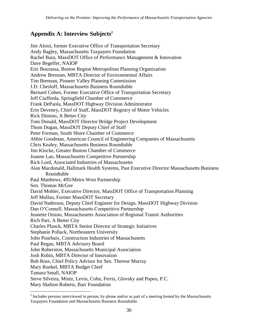# **Appendix A: Interview Subjects<sup>2</sup>**

Jim Aloisi, former Executive Office of Transportation Secretary Andy Bagley, Massachusetts Taxpayers Foundation Rachel Bain, MassDOT Office of Performance Management & Innovation Dave Begelfer, NAIOP Eric Bourassa, Boston Region Metropolitan Planning Organization Andrew Brennan, MBTA Director of Environmental Affairs Tim Brennan, Pioneer Valley Planning Commission J.D. Chesloff, Massachusetts Business Roundtable Bernard Cohen, Former Executive Office of Transportation Secretary Jeff Ciuffreda, Springfield Chamber of Commerce Frank DePaola, MassDOT Highway Division Administrator Erin Deveney, Chief of Staff, MassDOT Registry of Motor Vehicles Rick Dimino, A Better City Tom Donald, MassDOT Director Bridge Project Development Thom Dugan, MassDOT Deputy Chief of Staff Peter Forman, South Shore Chamber of Commerce Abbie Goodman, American Council of Engineering Companies of Massachusetts Chris Kealey, Massachusetts Business Roundtable Jim Klocke, Greater Boston Chamber of Commerce Joanne Lao, Massachusetts Competitive Partnership Rick Lord, Associated Industries of Massachusetts Alan Macdonald, Hallmark Health Systems, Past Executive Director Massachusetts Business Roundtable Paul Matthews, 495/Metro West Partnership Sen. Thomas McGee David Mohler, Executive Director, MassDOT Office of Transportation Planning Jeff Mullan, Former MassDOT Secretary David Naderson, Deputy Chief Engineer for Design, MassDOT Highway Division Dan O'Connell, Massachusetts Competitive Partnership Jeanette Orsino, Massachusetts Association of Regional Transit Authorities Rich Parr, A Better City Charles Planck, MBTA Senior Director of Strategic Initiatives Stephanie Pollack, Northeastern University John Pourbaix, Construction Industries of Massachusetts Paul Regan, MBTA Advisory Board John Roberston, Massachusetts Municipal Association Josh Robin, MBTA Director of Innovation Bob Ross, Chief Policy Advisor for Sen. Therese Murray Mary Runkel, MBTA Budget Chief Tamara Small, NAIOP Steve Silveira, Mintz, Levin, Cohn, Ferris, Glovsky and Popeo, P.C. Mary Skelton Roberts, Barr Foundation

 $\overline{a}$  $2^{2}$  Includes persons interviewed in person, by phone and/or as part of a meeting hosted by the Massachusetts Taxpayers Foundation and Massachusetts Business Roundtable.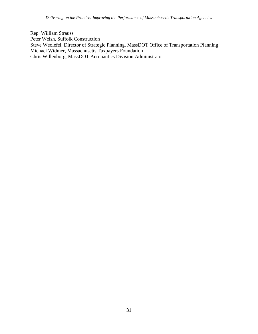Rep. William Strauss Peter Welsh, Suffolk Construction Steve Weolefel, Director of Strategic Planning, MassDOT Office of Transportation Planning Michael Widmer, Massachusetts Taxpayers Foundation Chris Willenborg, MassDOT Aeronautics Division Administrator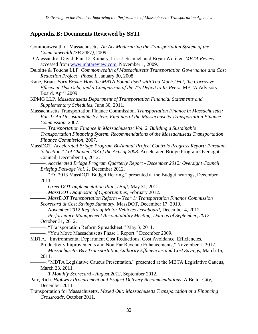# **Appendix B: Documents Reviewed by SSTI**

- Commonwealth of Massachusetts. *An Act Modernizing the Transportation System of the Commonwealth (SB 2087)*, 2009.
- D'Alessandro, David, Paul D. Romary, Lisa J. Scannel, and Bryan Woliner. *MBTA Review*, accessed from [www.mbtareview.com,](http://www.mbtareview.com/) November 1, 2009.
- Deloitte & Touche LLP. *Commonwealth of Massachusetts Transportation Governance and Cost Reduction Project –Phase I*, January 30, 2008.
- Kane, Brian. *Born Broke: How the MBTA Found Itself with Too Much Debt, the Corrosive Effects of This Debt, and a Comparison of the T's Deficit to Its Peers*. MBTA Advisory Board, April 2009.
- KPMG LLP. *Massachusetts Department of Transportation Financial Statements and Supplementary Schedules*, June 30, 2011.
- Massachusetts Transportation Finance Commission. *Transportation Finance in Massachusetts: Vol. 1: An Unsustainable System: Findings of the Massachusetts Transportation Finance Commission*, 2007.
	- ———. *Transportation Finance in Massachusetts: Vol. 2. Building a Sustainable Transportation Financing System. Recommendations of the Massachusetts Transportation Finance Commission*, 2007.
- MassDOT. *Accelerated Bridge Program Bi-Annual Project Controls Progress Report: Pursuant to Section 17 of Chapter 233 of the Acts of 2008*. Accelerated Bridge Program Oversight Council, December 15, 2012.

———. *Accelerated Bridge Program Quarterly Report - December 2012: Oversight Council Briefing Package Vol. 1*, December 2012.

———. "FY 2013 MassDOT Budget Hearing." presented at the Budget hearings, December 2011.

———. *GreenDOT Implementation Plan, Draft*, May 31, 2012.

- ———. *MassDOT Diagnostic of Opportunities*, February 2012.
- ———. *MassDOT Transportation Reform – Year 1: Transportation Finance Commission Scorecard & Cost Savings Summary*. MassDOT, December 17, 2010.
- ———. *November 2012 Registry of Motor Vehicles Dashboard*, December 4, 2012.
- ———. *Performance Management Accountability Meeting, Data as of September, 2012*, October 31, 2012.

———. "Transportation Reform Spreadsheet," May 3, 2011.

———. "You Move Massachusetts Phase 1 Report." December 2009.

MBTA. "Environmental Department Cost Reductions, Cost Avoidance, Efficiencies, Productivity Improvements and Non-Far Revenue Enhancements," November 1, 2012.

———. *Massachusetts Bay Transportation Authority Efficiencies and Cost Savings*, March 16, 2011.

———. "MBTA Legislative Caucus Presentation." presented at the MBTA Legislative Caucus, March 23, 2011.

———. *T Monthly Scorecard - August 2012*, September 2012.

Parr, Rich. *Highway Procurement and Project Delivery Recommendations*. A Better City, December 2011.

Transportation for Massachusetts. *Maxed Out: Massachusetts Transportation at a Financing Crossroads*, October 2011.